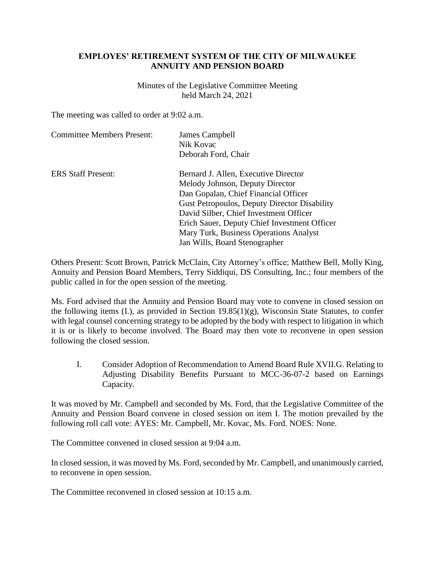## **EMPLOYES' RETIREMENT SYSTEM OF THE CITY OF MILWAUKEE ANNUITY AND PENSION BOARD**

Minutes of the Legislative Committee Meeting held March 24, 2021

The meeting was called to order at 9:02 a.m.

| <b>Committee Members Present:</b> | James Campbell                                      |
|-----------------------------------|-----------------------------------------------------|
|                                   | Nik Kovac                                           |
|                                   | Deborah Ford, Chair                                 |
| <b>ERS Staff Present:</b>         | Bernard J. Allen, Executive Director                |
|                                   | Melody Johnson, Deputy Director                     |
|                                   | Dan Gopalan, Chief Financial Officer                |
|                                   | <b>Gust Petropoulos, Deputy Director Disability</b> |
|                                   | David Silber, Chief Investment Officer              |
|                                   | Erich Sauer, Deputy Chief Investment Officer        |
|                                   | Mary Turk, Business Operations Analyst              |
|                                   | Jan Wills, Board Stenographer                       |

Others Present: Scott Brown, Patrick McClain, City Attorney's office; Matthew Bell, Molly King, Annuity and Pension Board Members, Terry Siddiqui, DS Consulting, Inc.; four members of the public called in for the open session of the meeting.

Ms. Ford advised that the Annuity and Pension Board may vote to convene in closed session on the following items (I.), as provided in Section 19.85(1)(g), Wisconsin State Statutes, to confer with legal counsel concerning strategy to be adopted by the body with respect to litigation in which it is or is likely to become involved. The Board may then vote to reconvene in open session following the closed session.

I. Consider Adoption of Recommendation to Amend Board Rule XVII.G. Relating to Adjusting Disability Benefits Pursuant to MCC-36-07-2 based on Earnings Capacity.

It was moved by Mr. Campbell and seconded by Ms. Ford, that the Legislative Committee of the Annuity and Pension Board convene in closed session on item I. The motion prevailed by the following roll call vote: AYES: Mr. Campbell, Mr. Kovac, Ms. Ford. NOES: None.

The Committee convened in closed session at 9:04 a.m.

In closed session, it was moved by Ms. Ford, seconded by Mr. Campbell, and unanimously carried, to reconvene in open session.

The Committee reconvened in closed session at 10:15 a.m.